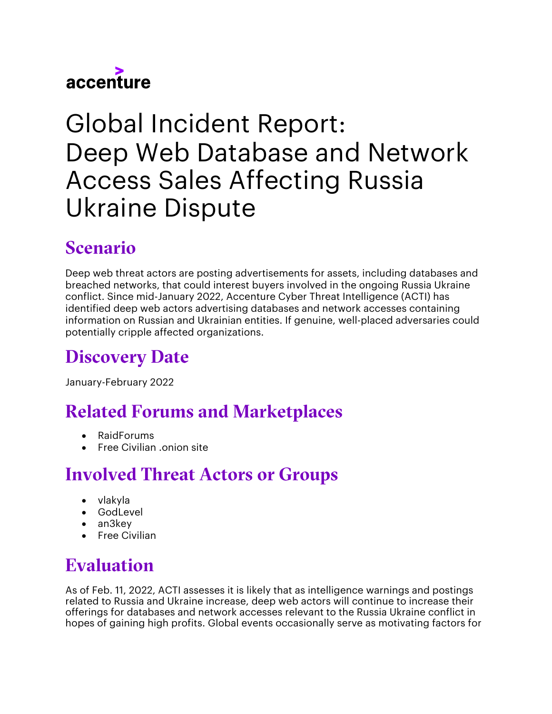

# Global Incident Report:  Deep Web Database and Network Access Sales Affecting Russia Ukraine Dispute

#### Scenario

Deep web threat actors are posting advertisements for assets, including databases and breached networks, that could interest buyers involved in the ongoing Russia Ukraine conflict. Since mid-January 2022, Accenture Cyber Threat Intelligence (ACTI) has identified deep web actors advertising databases and network accesses containing information on Russian and Ukrainian entities. If genuine, well-placed adversaries could potentially cripple affected organizations.

## Discovery Date

January-February 2022

#### Related Forums and Marketplaces

- RaidForums
- Free Civilian .onion site

#### Involved Threat Actors or Groups

- vlakyla
- GodLevel
- an3key
- Free Civilian

## Evaluation

As of Feb. 11, 2022, ACTI assesses it is likely that as intelligence warnings and postings related to Russia and Ukraine increase, deep web actors will continue to increase their offerings for databases and network accesses relevant to the Russia Ukraine conflict in hopes of gaining high profits. Global events occasionally serve as motivating factors for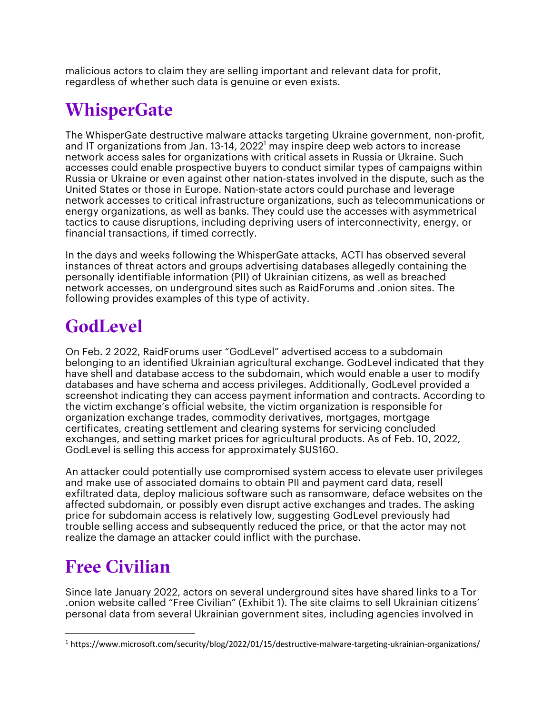malicious actors to claim they are selling important and relevant data for profit, regardless of whether such data is genuine or even exists.

#### **WhisperGate**

The WhisperGate destructive malware attacks targeting Ukraine government, non-profit, and IT organizations from Jan.  $13{\text -}14$ ,  $2022^1$  may inspire deep web actors to increase network access sales for organizations with critical assets in Russia or Ukraine. Such accesses could enable prospective buyers to conduct similar types of campaigns within Russia or Ukraine or even against other nation-states involved in the dispute, such as the United States or those in Europe. Nation-state actors could purchase and leverage network accesses to critical infrastructure organizations, such as telecommunications or energy organizations, as well as banks. They could use the accesses with asymmetrical tactics to cause disruptions, including depriving users of interconnectivity, energy, or financial transactions, if timed correctly.

In the days and weeks following the WhisperGate attacks, ACTI has observed several instances of threat actors and groups advertising databases allegedly containing the personally identifiable information (PII) of Ukrainian citizens, as well as breached network accesses, on underground sites such as RaidForums and .onion sites. The following provides examples of this type of activity.

#### **GodLevel**

On Feb. 2 2022, RaidForums user "GodLevel" advertised access to a subdomain belonging to an identified Ukrainian agricultural exchange. GodLevel indicated that they have shell and database access to the subdomain, which would enable a user to modify databases and have schema and access privileges. Additionally, GodLevel provided a screenshot indicating they can access payment information and contracts. According to the victim exchange's official website, the victim organization is responsible for organization exchange trades, commodity derivatives, mortgages, mortgage certificates, creating settlement and clearing systems for servicing concluded exchanges, and setting market prices for agricultural products. As of Feb. 10, 2022, GodLevel is selling this access for approximately \$US160.

An attacker could potentially use compromised system access to elevate user privileges and make use of associated domains to obtain PII and payment card data, resell exfiltrated data, deploy malicious software such as ransomware, deface websites on the affected subdomain, or possibly even disrupt active exchanges and trades. The asking price for subdomain access is relatively low, suggesting GodLevel previously had trouble selling access and subsequently reduced the price, or that the actor may not realize the damage an attacker could inflict with the purchase.

#### Free Civilian

Since late January 2022, actors on several underground sites have shared links to a Tor .onion website called "Free Civilian" (Exhibit 1). The site claims to sell Ukrainian citizens' personal data from several Ukrainian government sites, including agencies involved in

<sup>1</sup> https://www.microsoft.com/security/blog/2022/01/15/destructive-malware-targeting-ukrainian-organizations/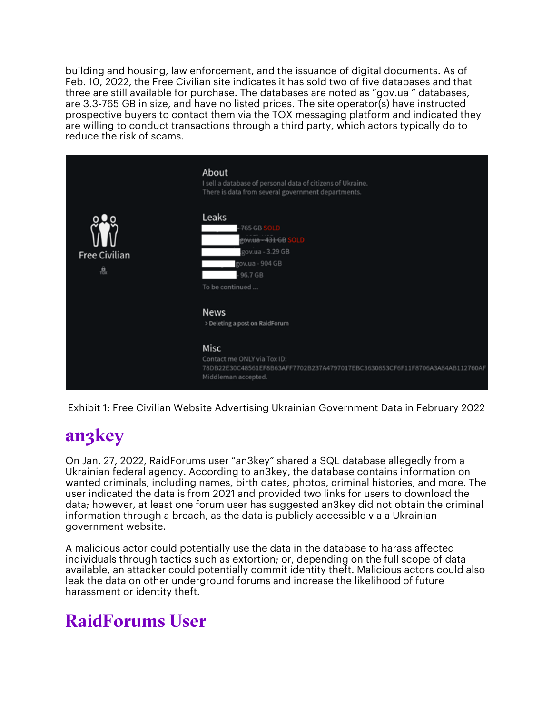building and housing, law enforcement, and the issuance of digital documents. As of Feb. 10, 2022, the Free Civilian site indicates it has sold two of five databases and that three are still available for purchase. The databases are noted as "gov.ua " databases, are 3.3-765 GB in size, and have no listed prices. The site operator(s) have instructed prospective buyers to contact them via the TOX messaging platform and indicated they are willing to conduct transactions through a third party, which actors typically do to reduce the risk of scams.



Exhibit 1: Free Civilian Website Advertising Ukrainian Government Data in February 2022

#### an3key

On Jan. 27, 2022, RaidForums user "an3key" shared a SQL database allegedly from a Ukrainian federal agency. According to an3key, the database contains information on wanted criminals, including names, birth dates, photos, criminal histories, and more. The user indicated the data is from 2021 and provided two links for users to download the data; however, at least one forum user has suggested an3key did not obtain the criminal information through a breach, as the data is publicly accessible via a Ukrainian government website.

A malicious actor could potentially use the data in the database to harass affected individuals through tactics such as extortion; or, depending on the full scope of data available, an attacker could potentially commit identity theft. Malicious actors could also leak the data on other underground forums and increase the likelihood of future harassment or identity theft.

#### RaidForums User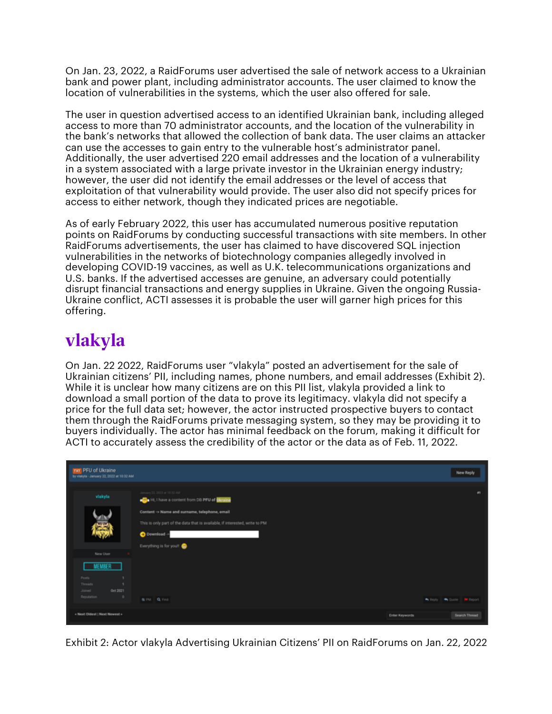On Jan. 23, 2022, a RaidForums user advertised the sale of network access to a Ukrainian bank and power plant, including administrator accounts. The user claimed to know the location of vulnerabilities in the systems, which the user also offered for sale.

The user in question advertised access to an identified Ukrainian bank, including alleged access to more than 70 administrator accounts, and the location of the vulnerability in the bank's networks that allowed the collection of bank data. The user claims an attacker can use the accesses to gain entry to the vulnerable host's administrator panel. Additionally, the user advertised 220 email addresses and the location of a vulnerability in a system associated with a large private investor in the Ukrainian energy industry; however, the user did not identify the email addresses or the level of access that exploitation of that vulnerability would provide. The user also did not specify prices for access to either network, though they indicated prices are negotiable.

As of early February 2022, this user has accumulated numerous positive reputation points on RaidForums by conducting successful transactions with site members. In other RaidForums advertisements, the user has claimed to have discovered SQL injection vulnerabilities in the networks of biotechnology companies allegedly involved in developing COVID-19 vaccines, as well as U.K. telecommunications organizations and U.S. banks. If the advertised accesses are genuine, an adversary could potentially disrupt financial transactions and energy supplies in Ukraine. Given the ongoing Russia-Ukraine conflict, ACTI assesses it is probable the user will garner high prices for this offering.

#### vlakyla

On Jan. 22 2022, RaidForums user "vlakyla" posted an advertisement for the sale of Ukrainian citizens' PII, including names, phone numbers, and email addresses (Exhibit 2). While it is unclear how many citizens are on this PII list, vlakyla provided a link to download a small portion of the data to prove its legitimacy. vlakyla did not specify a price for the full data set; however, the actor instructed prospective buyers to contact them through the RaidForums private messaging system, so they may be providing it to buyers individually. The actor has minimal feedback on the forum, making it difficult for ACTI to accurately assess the credibility of the actor or the data as of Feb. 11, 2022.

| TXT PFU of Ukraine<br>by visityla - January 22, 2022 at 10:32 AM                                |                                                                                                                                                                                                                                             |                       | <b>New Reply</b>                                    |
|-------------------------------------------------------------------------------------------------|---------------------------------------------------------------------------------------------------------------------------------------------------------------------------------------------------------------------------------------------|-----------------------|-----------------------------------------------------|
| vlakyla<br>5                                                                                    | January 22, 2022 at 10:32 AM<br><b>Ca</b> Hi, I have a content from DB PFU of <b>Ukraine</b><br>Content -> Name and surname, telephone, email<br>This is only part of the data that is available, if interested, write to PM<br>Download -> |                       | $\bullet$                                           |
| New User<br><b>MEMBER</b><br>Posts<br>Threads<br>Oct 2021<br>Joined<br>Reputation<br>$^{\circ}$ | Everything is for you!<br><b>B.PM Q.Find</b>                                                                                                                                                                                                |                       | <b>R</b> Custe <b>III</b> Report<br><b>We Reply</b> |
| « Next Oldest   Next Newest »                                                                   |                                                                                                                                                                                                                                             | <b>Enter Keywords</b> | Search Thread                                       |

Exhibit 2: Actor vlakyla Advertising Ukrainian Citizens' PII on RaidForums on Jan. 22, 2022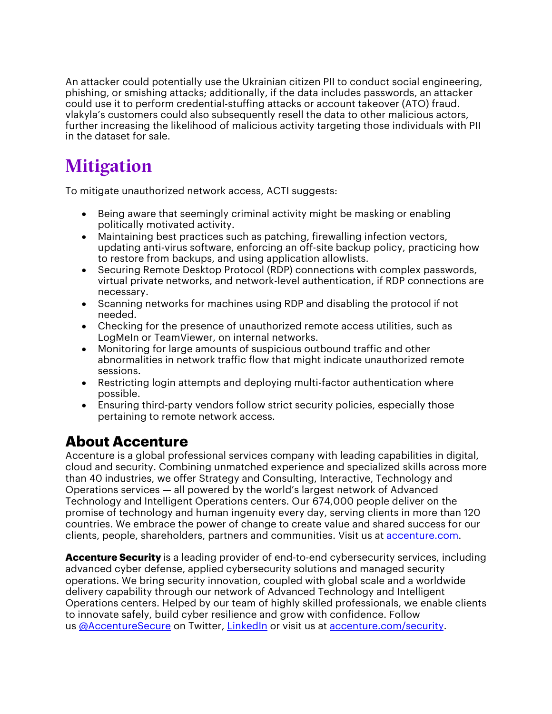An attacker could potentially use the Ukrainian citizen PII to conduct social engineering, phishing, or smishing attacks; additionally, if the data includes passwords, an attacker could use it to perform credential-stuffing attacks or account takeover (ATO) fraud. vlakyla's customers could also subsequently resell the data to other malicious actors, further increasing the likelihood of malicious activity targeting those individuals with PII in the dataset for sale.

#### **Mitigation**

To mitigate unauthorized network access, ACTI suggests:

- Being aware that seemingly criminal activity might be masking or enabling politically motivated activity.
- Maintaining best practices such as patching, firewalling infection vectors, updating anti-virus software, enforcing an off-site backup policy, practicing how to restore from backups, and using application allowlists.
- Securing Remote Desktop Protocol (RDP) connections with complex passwords, virtual private networks, and network-level authentication, if RDP connections are necessary.
- Scanning networks for machines using RDP and disabling the protocol if not needed.
- Checking for the presence of unauthorized remote access utilities, such as LogMeIn or TeamViewer, on internal networks.
- Monitoring for large amounts of suspicious outbound traffic and other abnormalities in network traffic flow that might indicate unauthorized remote sessions.
- Restricting login attempts and deploying multi-factor authentication where possible.
- Ensuring third-party vendors follow strict security policies, especially those pertaining to remote network access.

#### **About Accenture**

Accenture is a global professional services company with leading capabilities in digital, cloud and security. Combining unmatched experience and specialized skills across more than 40 industries, we offer Strategy and Consulting, Interactive, Technology and Operations services — all powered by the world's largest network of Advanced Technology and Intelligent Operations centers. Our 674,000 people deliver on the promise of technology and human ingenuity every day, serving clients in more than 120 countries. We embrace the power of change to create value and shared success for our clients, people, shareholders, partners and communities. Visit us at accenture.com.

**Accenture Security** is a leading provider of end-to-end cybersecurity services, including advanced cyber defense, applied cybersecurity solutions and managed security operations. We bring security innovation, coupled with global scale and a worldwide delivery capability through our network of Advanced Technology and Intelligent Operations centers. Helped by our team of highly skilled professionals, we enable clients to innovate safely, build cyber resilience and grow with confidence. Follow us @AccentureSecure on Twitter, LinkedIn or visit us at accenture.com/security.